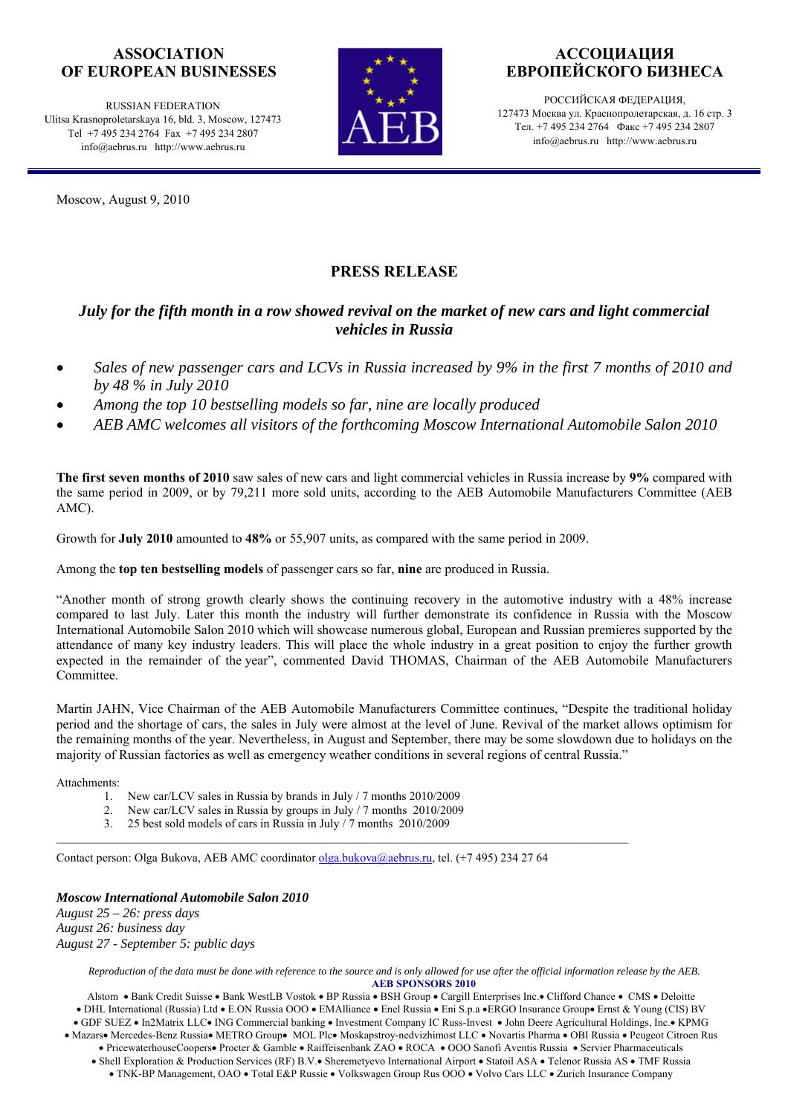## **ASSOCIATION OF EUROPEAN BUSINESSES**

RUSSIAN FEDERATION Ulitsa Krasnoproletarskaya 16, bld. 3, Moscow, 127473 Tel +7 495 234 2764 Fax +7 495 234 2807 info@aebrus.ru http://www.aebrus.ru

Moscow, August 9, 2010



# **АССОЦИАЦИЯ ЕВРОПЕЙСКОГО БИЗНЕСА**

РОССИЙСКАЯ ФЕДЕРАЦИЯ, 127473 Москва ул. Краснопролетарская, д. 16 стр. 3 Тел. +7 495 234 2764 Факс +7 495 234 2807 info@aebrus.ru http://www.aebrus.ru

# **PRESS RELEASE**

## *July for the fifth month in a row showed revival on the market of new cars and light commercial vehicles in Russia*

- *Sales of new passenger cars and LCVs in Russia increased by 9% in the first 7 months of 2010 and by 48 % in July 2010*
- *Among the top 10 bestselling models so far, nine are locally produced*
- *AEB AMC welcomes all visitors of the forthcoming Moscow International Automobile Salon 2010*

**The first seven months of 2010** saw sales of new cars and light commercial vehicles in Russia increase by **9%** compared with the same period in 2009, or by 79,211 more sold units, according to the AEB Automobile Manufacturers Committee (AEB AMC).

Growth for **July 2010** amounted to **48%** or 55,907 units, as compared with the same period in 2009.

Among the **top ten bestselling models** of passenger cars so far, **nine** are produced in Russia.

"Another month of strong growth clearly shows the continuing recovery in the automotive industry with a 48% increase compared to last July. Later this month the industry will further demonstrate its confidence in Russia with the Moscow International Automobile Salon 2010 which will showcase numerous global, European and Russian premieres supported by the attendance of many key industry leaders. This will place the whole industry in a great position to enjoy the further growth expected in the remainder of the year", commented David THOMAS, Chairman of the AEB Automobile Manufacturers Committee.

Martin JAHN, Vice Chairman of the AEB Automobile Manufacturers Committee continues, "Despite the traditional holiday period and the shortage of cars, the sales in July were almost at the level of June. Revival of the market allows optimism for the remaining months of the year. Nevertheless, in August and September, there may be some slowdown due to holidays on the majority of Russian factories as well as emergency weather conditions in several regions of central Russia."

Attachments:

- 1. New car/LCV sales in Russia by brands in July / 7 months 2010/2009
- 2. New car/LCV sales in Russia by groups in July / 7 months 2010/2009
- 3. 25 best sold models of cars in Russia in July / 7 months 2010/2009

Contact person: Olga Bukova, AEB AMC coordinator olga.bukova@aebrus.ru, tel. (+7 495) 234 27 64

 $\mathcal{L}_\text{max}$ 

#### *Moscow International Automobile Salon 2010*

*August 25 – 26: press days August 26: business day August 27 - September 5: public days* 

> *Reproduction of the data must be done with reference to the source and is only allowed for use after the official information release by the AEB.*  **AEB SPONSORS 2010**

Alstom • Bank Credit Suisse • Bank WestLB Vostok • BP Russia • BSH Group • Cargill Enterprises Inc.• Clifford Chance • CMS • Deloitte • DHL International (Russia) Ltd • E.ON Russia OOO • EMAlliance • Enel Russia • Eni S.p.a •ERGO Insurance Group• Ernst & Young (CIS) BV • GDF SUEZ • In2Matrix LLC• ING Commercial banking • Investment Company IC Russ-Invest • John Deere Agricultural Holdings, Inc.• KPMG • Mazars• Mercedes-Benz Russia• METRO Group• MOL Plc• Moskapstroy-nedvizhimost LLC • Novartis Pharma • OBI Russia • Peugeot Citroen Rus • PricewaterhouseCoopers• Procter & Gamble • Raiffeisenbank ZAO • ROCA • OOO Sanofi Aventis Russia • Servier Pharmaceuticals • Shell Exploration & Production Services (RF) B.V.• Sheremetyevo International Airport • Statoil ASA • Telenor Russia AS • TMF Russia

• TNK-BP Management, OAO • Total E&P Russie • Volkswagen Group Rus OOO • Volvo Cars LLC • Zurich Insurance Company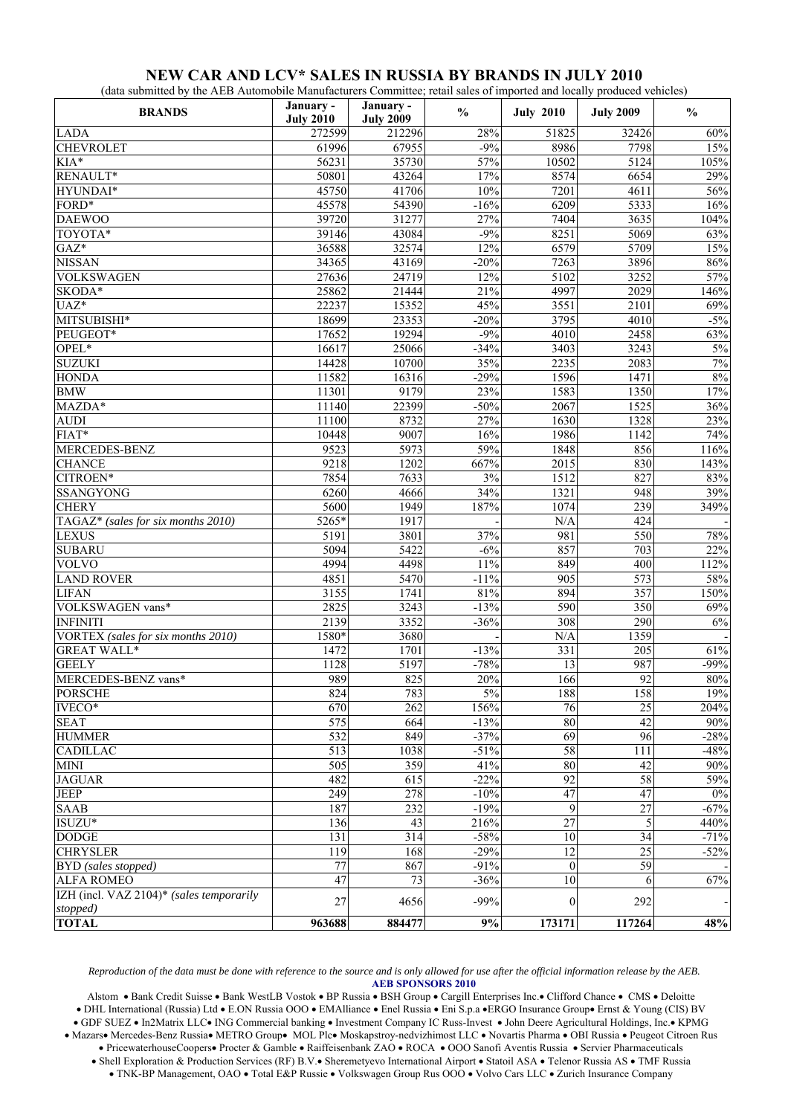| (data submitted by the AEB Automobile Manufacturers Committee; retail sales of imported and locally produced vehicles) |                               |                               |               |                      |                  |               |  |  |
|------------------------------------------------------------------------------------------------------------------------|-------------------------------|-------------------------------|---------------|----------------------|------------------|---------------|--|--|
| <b>BRANDS</b>                                                                                                          | January -<br><b>July 2010</b> | January -<br><b>July 2009</b> | $\frac{0}{0}$ | <b>July 2010</b>     | <b>July 2009</b> | $\frac{6}{9}$ |  |  |
| <b>LADA</b>                                                                                                            | 272599                        | 212296                        | 28%           | 51825                | 32426            | 60%           |  |  |
| <b>CHEVROLET</b>                                                                                                       | 61996                         | 67955                         | $-9%$         | 8986                 | 7798             | 15%           |  |  |
| $KIA*$                                                                                                                 | 56231                         | 35730                         | 57%           | 10502                | 5124             | 105%          |  |  |
| RENAULT*                                                                                                               | 50801                         | 43264                         | 17%           | 8574                 | 6654             | 29%           |  |  |
| HYUNDAI*                                                                                                               | 45750                         | 41706                         | 10%           | 7201                 | 4611             | 56%           |  |  |
| FORD*                                                                                                                  | 45578                         | 54390                         | $-16%$        | 6209                 | 5333             | 16%           |  |  |
| <b>DAEWOO</b>                                                                                                          | 39720                         | 31277                         | 27%           | 7404                 | 3635             | 104%          |  |  |
| TOYOTA*                                                                                                                | 39146                         | 43084                         | $-9%$         | 8251                 | 5069             | 63%           |  |  |
| $GAZ^*$                                                                                                                | 36588                         | 32574                         | 12%           | 6579                 | 5709             | 15%           |  |  |
| <b>NISSAN</b>                                                                                                          | 34365                         | 43169                         | $-20%$        | 7263                 | 3896             | 86%           |  |  |
| <b>VOLKSWAGEN</b>                                                                                                      | 27636                         | 24719                         | 12%           | 5102                 | 3252             | 57%           |  |  |
| SKODA*                                                                                                                 | 25862                         | 21444                         | 21%           | 4997                 | 2029             | 146%          |  |  |
| UAZ*                                                                                                                   | 22237                         | 15352                         | 45%           | 3551                 | 2101             | 69%           |  |  |
| MITSUBISHI*                                                                                                            | 18699                         | 23353                         | $-20%$        | 3795                 | 4010             | $-5%$         |  |  |
| PEUGEOT*                                                                                                               | 17652                         | 19294                         | $-9%$         | 4010                 | 2458             | 63%           |  |  |
| OPEL*                                                                                                                  | 16617                         | 25066                         | $-34%$        | 3403                 | 3243             | 5%            |  |  |
| <b>SUZUKI</b>                                                                                                          | 14428                         | 10700                         | 35%           | 2235                 | 2083             | 7%            |  |  |
| <b>HONDA</b>                                                                                                           | 11582                         | 16316                         | $-29%$        | 1596                 | 1471             | $8\%$         |  |  |
| <b>BMW</b>                                                                                                             | 11301                         | 9179                          | 23%           | 1583                 | 1350             | 17%           |  |  |
| $MAZDA*$                                                                                                               | 11140                         | 22399                         | $-50%$        | 2067                 | 1525             | 36%           |  |  |
| <b>AUDI</b>                                                                                                            | 11100                         | 8732                          | 27%           | 1630                 | 1328             | 23%           |  |  |
| FIAT*                                                                                                                  | 10448                         | 9007                          | 16%           | 1986                 | 1142             | 74%           |  |  |
| MERCEDES-BENZ                                                                                                          | 9523                          | 5973                          | 59%           | 1848                 | 856              | 116%          |  |  |
| <b>CHANCE</b>                                                                                                          | 9218                          | 1202                          | 667%          | 2015                 | 830              | 143%          |  |  |
| CITROEN*                                                                                                               | 7854                          | 7633                          | 3%            | 1512                 | 827              | 83%           |  |  |
| <b>SSANGYONG</b>                                                                                                       | 6260                          | 4666                          | 34%           | 1321                 | 948              | 39%           |  |  |
| <b>CHERY</b>                                                                                                           | 5600                          | 1949                          | 187%          | 1074                 | 239              | 349%          |  |  |
| TAGAZ* (sales for six months 2010)                                                                                     | 5265*                         | 1917                          |               | N/A                  | 424              |               |  |  |
| <b>LEXUS</b>                                                                                                           | 5191                          | 3801                          | 37%           | 981                  | 550              | 78%           |  |  |
| <b>SUBARU</b>                                                                                                          | 5094                          | 5422                          | $-6%$         | 857                  | 703              | 22%           |  |  |
| <b>VOLVO</b>                                                                                                           | 4994                          | 4498                          | 11%           | 849                  | 400              | 112%          |  |  |
| <b>LAND ROVER</b>                                                                                                      | 4851                          | 5470                          | $-11%$        | 905                  | 573              | 58%           |  |  |
| <b>LIFAN</b>                                                                                                           | 3155                          | 1741                          | 81%           | 894                  | 357              | 150%          |  |  |
| VOLKSWAGEN vans*                                                                                                       | 2825                          | 3243                          | $-13%$        | 590                  | 350              | 69%           |  |  |
| <b>INFINITI</b>                                                                                                        | 2139                          | 3352                          | $-36%$        | 308                  | 290              | 6%            |  |  |
| VORTEX (sales for six months 2010)                                                                                     | 1580*                         | 3680                          |               | N/A                  | 1359             |               |  |  |
| <b>GREAT WALL*</b>                                                                                                     | 1472                          | 1701                          | $-13%$        | 331                  | 205              | 61%           |  |  |
| <b>GEELY</b>                                                                                                           | 1128                          | 5197                          | $-78%$        | 13                   | 987              | $-99%$        |  |  |
| MERCEDES-BENZ vans*                                                                                                    | 989                           | 825                           | 20%           | 166                  | 92               | 80%           |  |  |
| <b>PORSCHE</b>                                                                                                         | 824                           | 783                           | 5%            | 188                  | 158              | 19%           |  |  |
| $\overline{\text{IVECO}}^*$                                                                                            | 670                           | 262                           | 156%          | 76                   | $\overline{25}$  | 204%          |  |  |
| <b>SEAT</b>                                                                                                            | 575                           | 664                           | $-13%$        | 80                   | 42               | 90%           |  |  |
| <b>HUMMER</b>                                                                                                          | 532                           | 849                           | $-37%$        | 69                   | 96               | $-28%$        |  |  |
| <b>CADILLAC</b>                                                                                                        | 513                           | 1038                          | $-51%$        | 58                   | 111              | $-48%$        |  |  |
| <b>MINI</b>                                                                                                            | $\overline{505}$              | 359                           | 41%           | 80                   | 42               | 90%           |  |  |
| <b>JAGUAR</b>                                                                                                          | 482                           | 615                           | $-22%$        | 92                   | 58               | 59%           |  |  |
| <b>JEEP</b>                                                                                                            | 249                           | 278                           | $-10%$        | 47                   | 47               | $0\%$         |  |  |
|                                                                                                                        |                               |                               |               |                      |                  |               |  |  |
| $\overline{\text{S}}$ AAB                                                                                              | 187                           | 232                           | $-19%$        | 9<br>$\overline{27}$ | $\overline{27}$  | $-67%$        |  |  |
| ISUZU*                                                                                                                 | 136                           | 43                            | 216%          |                      | 5                | 440%          |  |  |
| <b>DODGE</b>                                                                                                           | 131                           | 314                           | $-58%$        | 10                   | 34               | $-71%$        |  |  |
| <b>CHRYSLER</b>                                                                                                        | 119                           | 168                           | $-29%$        | 12                   | $\overline{25}$  | $-52%$        |  |  |
| <b>BYD</b> (sales stopped)                                                                                             | 77                            | 867                           | $-91%$        | $\mathbf{0}$         | 59               |               |  |  |
| <b>ALFA ROMEO</b>                                                                                                      | 47                            | 73                            | $-36%$        | 10                   | 6                | 67%           |  |  |
| IZH (incl. VAZ 2104)* (sales temporarily<br>stopped)                                                                   | $27\,$                        | 4656                          | $-99%$        | $\overline{0}$       | 292              |               |  |  |
| <b>TOTAL</b>                                                                                                           | 963688                        | 884477                        | $9\%$         | 173171               | 117264           | 48%           |  |  |

### **NEW CAR AND LCV\* SALES IN RUSSIA BY BRANDS IN JULY 2010**

*Reproduction of the data must be done with reference to the source and is only allowed for use after the official information release by the AEB.* 

**AEB SPONSORS 2010** 

Alstom • Bank Credit Suisse • Bank WestLB Vostok • BP Russia • BSH Group • Cargill Enterprises Inc.• Clifford Chance • CMS • Deloitte • DHL International (Russia) Ltd • E.ON Russia OOO • EMAlliance • Enel Russia • Eni S.p.a •ERGO Insurance Group• Ernst & Young (CIS) BV • GDF SUEZ • In2Matrix LLC• ING Commercial banking • Investment Company IC Russ-Invest • John Deere Agricultural Holdings, Inc.• KPMG • Mazars• Mercedes-Benz Russia• METRO Group• MOL Plc• Moskapstroy-nedvizhimost LLC • Novartis Pharma • OBI Russia • Peugeot Citroen Rus • PricewaterhouseCoopers• Procter & Gamble • Raiffeisenbank ZAO • ROCA • OOO Sanofi Aventis Russia • Servier Pharmaceuticals • Shell Exploration & Production Services (RF) B.V.• Sheremetyevo International Airport • Statoil ASA • Telenor Russia AS • TMF Russia

• TNK-BP Management, OAO • Total E&P Russie • Volkswagen Group Rus OOO • Volvo Cars LLC • Zurich Insurance Company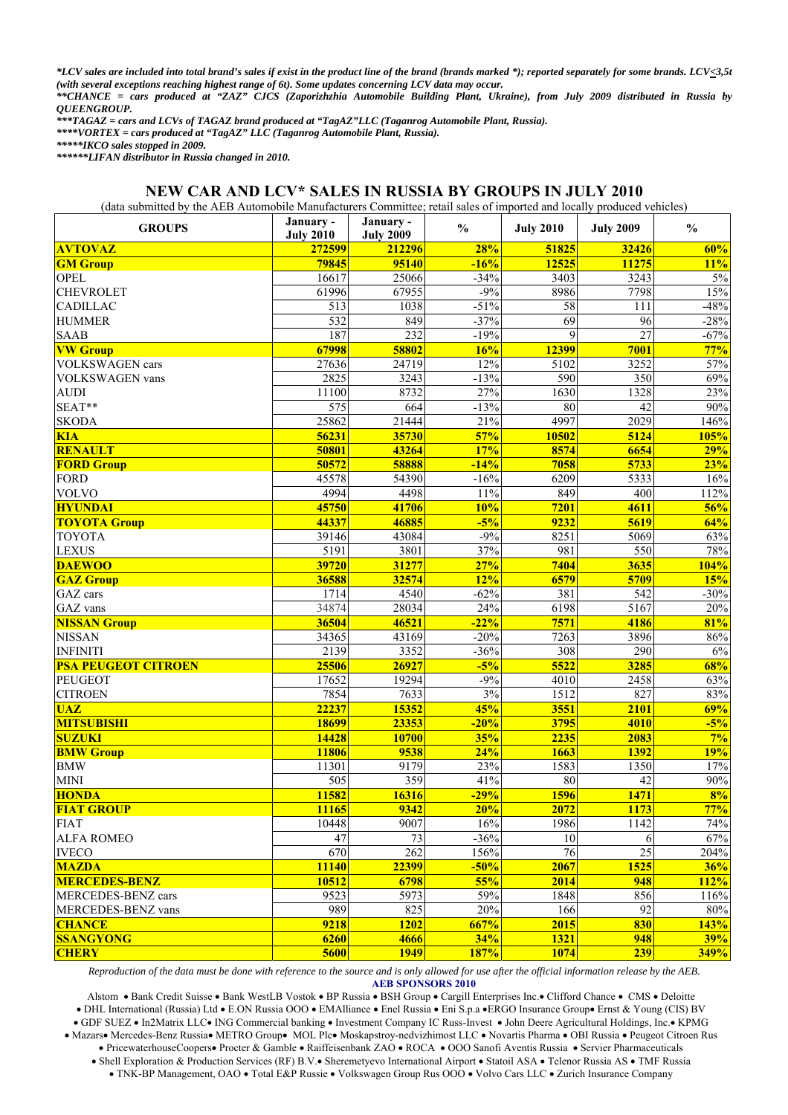*\*LCV sales are included into total brand's sales if exist in the product line of the brand (brands marked \*); reported separately for some brands. LCV<3,5t (with several exceptions reaching highest range of 6t). Some updates concerning LCV data may occur.* 

*\*\*CHANCE = cars produced at "ZAZ" CJCS (Zaporizhzhia Automobile Building Plant, Ukraine), from July 2009 distributed in Russia by QUEENGROUP.* 

*\*\*\*TAGAZ = cars and LCVs of TAGAZ brand produced at "TagAZ"LLC (Taganrog Automobile Plant, Russia). \*\*\*\*VORTEX = cars produced at "TagAZ" LLC (Taganrog Automobile Plant, Russia).* 

*\*\*\*\*\*IKCO sales stopped in 2009.* 

*\*\*\*\*\*\*LIFAN distributor in Russia changed in 2010.* 

### **NEW CAR AND LCV\* SALES IN RUSSIA BY GROUPS IN JULY 2010**

(data submitted by the AEB Automobile Manufacturers Committee; retail sales of imported and locally produced vehicles)

| <b>GROUPS</b>              | January -<br><b>July 2010</b> | January -<br><b>July 2009</b> | $\frac{0}{0}$ | <b>July 2010</b> | <b>July 2009</b> | $\frac{0}{0}$ |
|----------------------------|-------------------------------|-------------------------------|---------------|------------------|------------------|---------------|
| <b>AVTOVAZ</b>             | 272599                        | 212296                        | 28%           | 51825            | 32426            | 60%           |
| <b>GM Group</b>            | 79845                         | 95140                         | $-16%$        | 12525            | 11275            | 11%           |
| OPEL                       | 16617                         | 25066                         | $-34%$        | 3403             | 3243             | $5\%$         |
| <b>CHEVROLET</b>           | 61996                         | 67955                         | $-9%$         | 8986             | 7798             | 15%           |
| <b>CADILLAC</b>            | 513                           | 1038                          | $-51%$        | 58               | 111              | $-48%$        |
| <b>HUMMER</b>              | 532                           | 849                           | $-37%$        | 69               | 96               | $-28%$        |
| <b>SAAB</b>                | 187                           | 232                           | $-19%$        | 9                | $\overline{27}$  | $-67%$        |
| <b>VW Group</b>            | 67998                         | 58802                         | 16%           | 12399            | 7001             | 77%           |
| VOLKSWAGEN cars            | 27636                         | 24719                         | 12%           | 5102             | 3252             | 57%           |
| VOLKSWAGEN vans            | 2825                          | 3243                          | $-13%$        | 590              | 350              | 69%           |
| <b>AUDI</b>                | 11100                         | 8732                          | 27%           | 1630             | 1328             | 23%           |
| SEAT**                     | 575                           | 664                           | $-13%$        | 80               | $\overline{42}$  | $90\%$        |
| <b>SKODA</b>               | 25862                         | 21444                         | 21%           | 4997             | 2029             | 146%          |
| <b>KIA</b>                 | 56231                         | 35730                         | 57%           | 10502            | 5124             | <b>105%</b>   |
| <b>RENAULT</b>             | 50801                         | 43264                         | 17%           | 8574             | 6654             | 29%           |
| <b>FORD Group</b>          | 50572                         | 58888                         | $-14%$        | 7058             | 5733             | 23%           |
| <b>FORD</b>                | 45578                         | 54390                         | $-16%$        | 6209             | 5333             | 16%           |
| <b>VOLVO</b>               | 4994                          | 4498                          | 11%           | 849              | 400              | 112%          |
| <b>HYUNDAI</b>             | 45750                         | 41706                         | 10%           | 7201             | 4611             | 56%           |
| <b>TOYOTA Group</b>        | 44337                         | 46885                         | $-5%$         | 9232             | 5619             | 64%           |
| <b>TOYOTA</b>              | 39146                         | 43084                         | $-9%$         | 8251             | 5069             | 63%           |
| <b>LEXUS</b>               | 5191                          | 3801                          | 37%           | 981              | 550              | $78\%$        |
| <b>DAEWOO</b>              | 39720                         | 31277                         | 27%           | 7404             | 3635             | 104%          |
| <b>GAZ Group</b>           | 36588                         | 32574                         | 12%           | 6579             | 5709             | 15%           |
| GAZ cars                   | 1714                          | 4540                          | $-62%$        | 381              | 542              | $-30%$        |
| GAZ vans                   | 34874                         | 28034                         | 24%           | 6198             | 5167             | 20%           |
| <b>NISSAN Group</b>        | 36504                         | 46521                         | $-22%$        | 7571             | 4186             | 81%           |
| <b>NISSAN</b>              | 34365                         | 43169                         | $-20%$        | 7263             | 3896             | $86\%$        |
| <b>INFINITI</b>            | 2139                          | 3352                          | $-36%$        | 308              | 290              | $6\%$         |
| <b>PSA PEUGEOT CITROEN</b> | 25506                         | 26927                         | $-5%$         | 5522             | 3285             | 68%           |
| <b>PEUGEOT</b>             | 17652                         | 19294                         | $-9%$         | 4010             | 2458             | 63%           |
| <b>CITROEN</b>             | 7854                          | 7633                          | 3%            | 1512             | 827              | 83%           |
| <b>UAZ</b>                 | 22237                         | 15352                         | 45%           | 3551             | 2101             | 69%           |
| <b>MITSUBISHI</b>          | <b>18699</b>                  | 23353                         | $-20%$        | 3795             | 4010             | $-5%$         |
| <b>SUZUKI</b>              | 14428                         | 10700                         | 35%           | 2235             | 2083             | 7%            |
| <b>BMW Group</b>           | 11806                         | 9538                          | 24%           | 1663             | 1392             | 19%           |
| <b>BMW</b>                 | 11301                         | 9179                          | 23%           | 1583             | 1350             | 17%           |
| <b>MINI</b>                | 505                           | 359                           | 41%           | 80               | 42               | $90\%$        |
| <b>HONDA</b>               | 11582                         | 16316                         | $-29%$        | 1596             | 1471             | 8%            |
| <b>FIAT GROUP</b>          | 11165                         | 9342                          | 20%           | 2072             | <b>1173</b>      | 77%           |
| <b>FIAT</b>                | 10448                         | 9007                          | 16%           | 1986             | 1142             | 74%           |
| <b>ALFA ROMEO</b>          | 47                            | 73                            | $-36%$        | 10               | 6                | 67%           |
| <b>IVECO</b>               | 670                           | 262                           | 156%          | $\overline{76}$  | $\overline{25}$  | 204%          |
| <b>MAZDA</b>               | 11140                         | 22399                         | $-50%$        | 2067             | <b>1525</b>      | 36%           |
| <b>MERCEDES-BENZ</b>       | 10512                         | 6798                          | 55%           | 2014             | 948              | 112%          |
| MERCEDES-BENZ cars         | 9523                          | 5973                          | 59%           | 1848             | 856              | 116%          |
| MERCEDES-BENZ vans         | 989                           | 825                           | 20%           | 166              | 92               | 80%           |
| <b>CHANCE</b>              | 9218                          | <b>1202</b>                   | 667%          | 2015             | 830              | 143%          |
| <b>SSANGYONG</b>           | 6260                          | 4666                          | 34%           | 1321             | 948              | 39%           |
| <b>CHERY</b>               | 5600                          | <b>1949</b>                   | <b>187%</b>   | 1074             | 239              | 349%          |

*Reproduction of the data must be done with reference to the source and is only allowed for use after the official information release by the AEB.*  **AEB SPONSORS 2010** 

Alstom • Bank Credit Suisse • Bank WestLB Vostok • BP Russia • BSH Group • Cargill Enterprises Inc.• Clifford Chance • CMS • Deloitte • DHL International (Russia) Ltd • E.ON Russia OOO • EMAlliance • Enel Russia • Eni S.p.a •ERGO Insurance Group• Ernst & Young (CIS) BV • GDF SUEZ • In2Matrix LLC• ING Commercial banking • Investment Company IC Russ-Invest • John Deere Agricultural Holdings, Inc.• KPMG • Mazars• Mercedes-Benz Russia• METRO Group• MOL Plc• Moskapstroy-nedvizhimost LLC • Novartis Pharma • OBI Russia • Peugeot Citroen Rus • PricewaterhouseCoopers• Procter & Gamble • Raiffeisenbank ZAO • ROCA • OOO Sanofi Aventis Russia • Servier Pharmaceuticals • Shell Exploration & Production Services (RF) B.V.• Sheremetyevo International Airport • Statoil ASA • Telenor Russia AS • TMF Russia

• TNK-BP Management, OAO • Total E&P Russie • Volkswagen Group Rus OOO • Volvo Cars LLC • Zurich Insurance Company